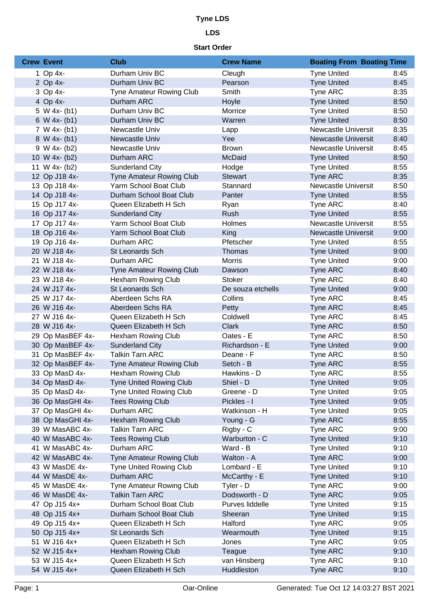### **LDS**

| <b>Crew Event</b> | <b>Club</b>                     | <b>Crew Name</b>  | <b>Boating From Boating Time</b> |      |
|-------------------|---------------------------------|-------------------|----------------------------------|------|
| 1 Op $4x-$        | Durham Univ BC                  | Cleugh            | <b>Tyne United</b>               | 8:45 |
| 2 Op 4x-          | Durham Univ BC                  | Pearson           | <b>Tyne United</b>               | 8:45 |
| 3 Op 4x-          | <b>Tyne Amateur Rowing Club</b> | Smith             | Tyne ARC                         | 8:35 |
| 4 Op 4x-          | Durham ARC                      | Hoyle             | <b>Tyne United</b>               | 8:50 |
| 5 W 4x- $(b1)$    | Durham Univ BC                  | Morrice           | <b>Tyne United</b>               | 8:50 |
| 6 W 4x- $(b1)$    | Durham Univ BC                  | Warren            | <b>Tyne United</b>               | 8:50 |
| $7 W 4x-(b1)$     | Newcastle Univ                  | Lapp              | Newcastle Universit              | 8:35 |
| 8 W 4x- (b1)      | Newcastle Univ                  | Yee               | <b>Newcastle Universit</b>       | 8:40 |
| $9 W 4x - (b2)$   | Newcastle Univ                  | <b>Brown</b>      | <b>Newcastle Universit</b>       | 8:45 |
| 10 W 4x- (b2)     | Durham ARC                      | McDaid            | <b>Tyne United</b>               | 8:50 |
| 11 W 4x- $(b2)$   | Sunderland City                 | Hodge             | <b>Tyne United</b>               | 8:55 |
| 12 Op J18 4x-     | <b>Tyne Amateur Rowing Club</b> | <b>Stewart</b>    | Tyne ARC                         | 8:35 |
| 13 Op J18 4x-     | Yarm School Boat Club           | Stannard          | <b>Newcastle Universit</b>       | 8:50 |
| 14 Op J18 4x-     | Durham School Boat Club         | Panter            | <b>Tyne United</b>               | 8:55 |
| 15 Op J17 4x-     | Queen Elizabeth H Sch           | Ryan              | Tyne ARC                         | 8:40 |
| 16 Op J17 4x-     | <b>Sunderland City</b>          | Rush              | <b>Tyne United</b>               | 8:55 |
| 17 Op J17 4x-     | Yarm School Boat Club           | Holmes            | <b>Newcastle Universit</b>       | 8:55 |
| 18 Op J16 4x-     | Yarm School Boat Club           | King              | <b>Newcastle Universit</b>       | 9:00 |
| 19 Op J16 4x-     | Durham ARC                      | Pfetscher         | <b>Tyne United</b>               | 8:55 |
| 20 W J18 4x-      | St Leonards Sch                 | Thomas            | <b>Tyne United</b>               | 9:00 |
| 21 W J18 4x-      | Durham ARC                      | Morris            | <b>Tyne United</b>               | 9:00 |
| 22 W J18 4x-      | Tyne Amateur Rowing Club        | Dawson            | Tyne ARC                         | 8:40 |
| 23 W J18 4x-      | Hexham Rowing Club              | <b>Stoker</b>     | Tyne ARC                         | 8:40 |
| 24 W J17 4x-      | St Leonards Sch                 | De souza etchells | <b>Tyne United</b>               | 9:00 |
| 25 W J17 4x-      | Aberdeen Schs RA                | Collins           | Tyne ARC                         | 8:45 |
| 26 W J16 4x-      | Aberdeen Schs RA                | Petty             | Tyne ARC                         | 8:45 |
| 27 W J16 4x-      | Queen Elizabeth H Sch           | Coldwell          | Tyne ARC                         | 8:45 |
| 28 W J16 4x-      | Queen Elizabeth H Sch           | <b>Clark</b>      | Tyne ARC                         | 8:50 |
| 29 Op MasBEF 4x-  | Hexham Rowing Club              | Oates - E         | Tyne ARC                         | 8:50 |
| 30 Op MasBEF 4x-  | <b>Sunderland City</b>          | Richardson - E    | <b>Tyne United</b>               | 9:00 |
| 31 Op MasBEF 4x-  | <b>Talkin Tarn ARC</b>          | Deane - F         | Tyne ARC                         | 8:50 |
| 32 Op MasBEF 4x-  | <b>Tyne Amateur Rowing Club</b> | Setch - B         | Tyne ARC                         | 8:55 |
| 33 Op MasD 4x-    | Hexham Rowing Club              | Hawkins - D       | Tyne ARC                         | 8:55 |
| 34 Op MasD 4x-    | Tyne United Rowing Club         | Shiel - D         | <b>Tyne United</b>               | 9:05 |
| 35 Op MasD 4x-    | <b>Tyne United Rowing Club</b>  | Greene - D        | <b>Tyne United</b>               | 9:05 |
| 36 Op MasGHI 4x-  | <b>Tees Rowing Club</b>         | Pickles - I       | <b>Tyne United</b>               | 9:05 |
| 37 Op MasGHI 4x-  | Durham ARC                      | Watkinson - H     | <b>Tyne United</b>               | 9:05 |
| 38 Op MasGHI 4x-  | <b>Hexham Rowing Club</b>       | Young - G         | Tyne ARC                         | 8:55 |
| 39 W MasABC 4x-   | <b>Talkin Tarn ARC</b>          | Rigby - C         | Tyne ARC                         | 9:00 |
| 40 W MasABC 4x-   | <b>Tees Rowing Club</b>         | Warburton - C     | <b>Tyne United</b>               | 9:10 |
| 41 W MasABC 4x-   | Durham ARC                      | Ward - B          | <b>Tyne United</b>               | 9:10 |
| 42 W MasABC 4x-   | Tyne Amateur Rowing Club        | Walton - A        | Tyne ARC                         | 9:00 |
| 43 W MasDE 4x-    | Tyne United Rowing Club         | Lombard - E       | <b>Tyne United</b>               | 9:10 |
| 44 W MasDE 4x-    | Durham ARC                      | McCarthy - E      | <b>Tyne United</b>               | 9:10 |
| 45 W MasDE 4x-    | <b>Tyne Amateur Rowing Club</b> | Tyler - D         | Tyne ARC                         | 9:00 |
| 46 W MasDE 4x-    | <b>Talkin Tarn ARC</b>          | Dodsworth - D     | Tyne ARC                         | 9:05 |
| 47 Op J15 4x+     | Durham School Boat Club         | Purves liddelle   | <b>Tyne United</b>               | 9:15 |
| 48 Op J15 4x+     | Durham School Boat Club         | Sheeran           | <b>Tyne United</b>               | 9:15 |
| 49 Op J15 4x+     | Queen Elizabeth H Sch           | Halford           | Tyne ARC                         | 9:05 |
| 50 Op J15 4x+     | St Leonards Sch                 | Wearmouth         | <b>Tyne United</b>               | 9:15 |
| 51 W J16 4x+      | Queen Elizabeth H Sch           | Jones             | Tyne ARC                         | 9:05 |
| 52 W J15 4x+      | <b>Hexham Rowing Club</b>       | Teague            | Tyne ARC                         | 9:10 |
| 53 W J15 4x+      | Queen Elizabeth H Sch           | van Hinsberg      | Tyne ARC                         | 9:10 |
| 54 W J15 4x+      | Queen Elizabeth H Sch           | Huddleston        | Tyne ARC                         | 9:10 |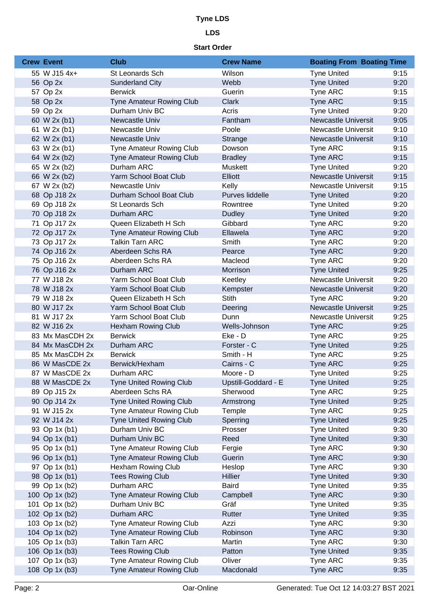## **LDS**

| <b>Crew Event</b> | <b>Club</b>                     | <b>Crew Name</b>    | <b>Boating From Boating Time</b> |      |
|-------------------|---------------------------------|---------------------|----------------------------------|------|
| 55 W J15 4x+      | St Leonards Sch                 | Wilson              | <b>Tyne United</b>               | 9:15 |
| 56 Op 2x          | <b>Sunderland City</b>          | Webb                | <b>Tyne United</b>               | 9:20 |
| 57 Op 2x          | <b>Berwick</b>                  | Guerin              | Tyne ARC                         | 9:15 |
| 58 Op 2x          | <b>Tyne Amateur Rowing Club</b> | <b>Clark</b>        | <b>Tyne ARC</b>                  | 9:15 |
| 59 Op 2x          | Durham Univ BC                  | Acris               | <b>Tyne United</b>               | 9:20 |
| 60 W 2x (b1)      | Newcastle Univ                  | Fantham             | <b>Newcastle Universit</b>       | 9:05 |
| 61 W 2x (b1)      | Newcastle Univ                  | Poole               | Newcastle Universit              | 9:10 |
| 62 W 2x (b1)      | Newcastle Univ                  | <b>Strange</b>      | Newcastle Universit              | 9:10 |
| 63 W 2x (b1)      | Tyne Amateur Rowing Club        | Dowson              | Tyne ARC                         | 9:15 |
| 64 W 2x (b2)      | <b>Tyne Amateur Rowing Club</b> | <b>Bradley</b>      | <b>Tyne ARC</b>                  | 9:15 |
| 65 W 2x (b2)      | Durham ARC                      | Muskett             | <b>Tyne United</b>               | 9:20 |
| 66 W 2x (b2)      | Yarm School Boat Club           | Elliott             | <b>Newcastle Universit</b>       | 9:15 |
| 67 W 2x (b2)      | Newcastle Univ                  | Kelly               | Newcastle Universit              | 9:15 |
| 68 Op J18 2x      | Durham School Boat Club         | Purves liddelle     | <b>Tyne United</b>               | 9:20 |
| 69 Op J18 2x      | St Leonards Sch                 | Rowntree            | <b>Tyne United</b>               | 9:20 |
| 70 Op J18 2x      | Durham ARC                      | <b>Dudley</b>       | <b>Tyne United</b>               | 9:20 |
| 71 Op J17 2x      | Queen Elizabeth H Sch           | Gibbard             | Tyne ARC                         | 9:20 |
| 72 Op J17 2x      | Tyne Amateur Rowing Club        | Ellawela            | <b>Tyne ARC</b>                  | 9:20 |
| 73 Op J17 2x      | <b>Talkin Tarn ARC</b>          | Smith               | Tyne ARC                         | 9:20 |
| 74 Op J16 2x      | Aberdeen Schs RA                | Pearce              | Tyne ARC                         | 9:20 |
| 75 Op J16 2x      | Aberdeen Schs RA                | Macleod             | Tyne ARC                         | 9:20 |
| 76 Op J16 2x      | Durham ARC                      | Morrison            | <b>Tyne United</b>               | 9:25 |
| 77 W J18 2x       | Yarm School Boat Club           | Keetley             | Newcastle Universit              | 9:20 |
| 78 W J18 2x       | Yarm School Boat Club           | Kempster            | Newcastle Universit              | 9:20 |
| 79 W J18 2x       | Queen Elizabeth H Sch           | <b>Stith</b>        | Tyne ARC                         | 9:20 |
| 80 W J17 2x       | Yarm School Boat Club           | Deering             | <b>Newcastle Universit</b>       | 9:25 |
| 81 W J17 2x       | Yarm School Boat Club           | Dunn                | Newcastle Universit              | 9:25 |
| 82 W J16 2x       | <b>Hexham Rowing Club</b>       | Wells-Johnson       | <b>Tyne ARC</b>                  | 9:25 |
| 83 Mx MasCDH 2x   | <b>Berwick</b>                  | Eke - D             | Tyne ARC                         | 9:25 |
| 84 Mx MasCDH 2x   | Durham ARC                      | Forster - C         | <b>Tyne United</b>               | 9:25 |
| 85 Mx MasCDH 2x   | <b>Berwick</b>                  | Smith - H           | Tyne ARC                         | 9:25 |
| 86 W MasCDE 2x    | Berwick/Hexham                  | Cairns - C          | Tyne ARC                         | 9:25 |
| 87 W MasCDE 2x    | Durham ARC                      | Moore - D           | <b>Tyne United</b>               | 9:25 |
| 88 W MasCDE 2x    | <b>Tyne United Rowing Club</b>  | Upstill-Goddard - E | <b>Tyne United</b>               | 9:25 |
| 89 Op J15 2x      | Aberdeen Schs RA                | Sherwood            | Tyne ARC                         | 9:25 |
| 90 Op J14 2x      | <b>Tyne United Rowing Club</b>  | Armstrong           | <b>Tyne United</b>               | 9:25 |
| 91 W J15 2x       | Tyne Amateur Rowing Club        | Temple              | Tyne ARC                         | 9:25 |
| 92 W J14 2x       | <b>Tyne United Rowing Club</b>  | Sperring            | <b>Tyne United</b>               | 9:25 |
| 93 Op 1x (b1)     | Durham Univ BC                  | Prosser             | <b>Tyne United</b>               | 9:30 |
| 94 Op 1x (b1)     | Durham Univ BC                  | Reed                | <b>Tyne United</b>               | 9:30 |
| 95 Op 1x (b1)     | <b>Tyne Amateur Rowing Club</b> | Fergie              | Tyne ARC                         | 9:30 |
| 96 Op 1x (b1)     | Tyne Amateur Rowing Club        | Guerin              | Tyne ARC                         | 9:30 |
| 97 Op 1x (b1)     | <b>Hexham Rowing Club</b>       | Heslop              | Tyne ARC                         | 9:30 |
| 98 Op 1x (b1)     | <b>Tees Rowing Club</b>         | <b>Hillier</b>      | <b>Tyne United</b>               | 9:30 |
| 99 Op 1x (b2)     | Durham ARC                      | <b>Baird</b>        | <b>Tyne United</b>               | 9:35 |
| 100 Op 1x (b2)    | Tyne Amateur Rowing Club        | Campbell            | Tyne ARC                         | 9:30 |
| 101 Op 1x (b2)    | Durham Univ BC                  | Gräf                | <b>Tyne United</b>               | 9:35 |
| 102 Op 1x (b2)    | Durham ARC                      | Rutter              | <b>Tyne United</b>               | 9:35 |
| 103 Op 1x (b2)    | Tyne Amateur Rowing Club        | Azzi                | Tyne ARC                         | 9:30 |
| 104 Op 1x (b2)    | Tyne Amateur Rowing Club        | Robinson            | Tyne ARC                         | 9:30 |
| 105 Op 1x (b3)    | <b>Talkin Tarn ARC</b>          | Martin              | Tyne ARC                         | 9:30 |
| 106 Op 1x (b3)    | <b>Tees Rowing Club</b>         | Patton              | <b>Tyne United</b>               | 9:35 |
| 107 Op 1x (b3)    | Tyne Amateur Rowing Club        | Oliver              | Tyne ARC                         | 9:35 |
| 108 Op 1x (b3)    | Tyne Amateur Rowing Club        | Macdonald           | Tyne ARC                         | 9:35 |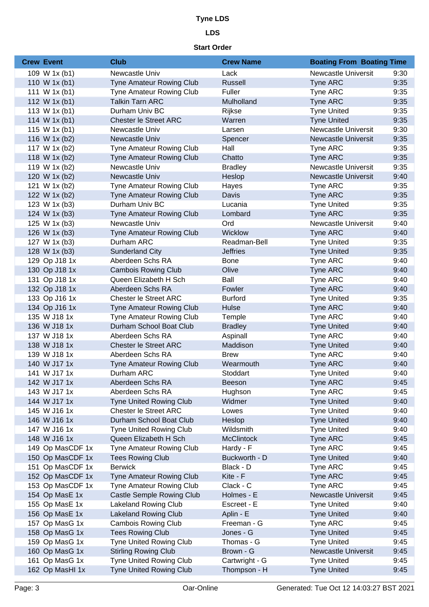### **LDS**

| <b>Crew Event</b> | <b>Club</b>                     | <b>Crew Name</b>  | <b>Boating From Boating Time</b> |      |
|-------------------|---------------------------------|-------------------|----------------------------------|------|
| 109 W 1x (b1)     | Newcastle Univ                  | Lack              | <b>Newcastle Universit</b>       | 9:30 |
| 110 W 1x (b1)     | <b>Tyne Amateur Rowing Club</b> | Russell           | Tyne ARC                         | 9:35 |
| 111 W $1x(b1)$    | <b>Tyne Amateur Rowing Club</b> | Fuller            | Tyne ARC                         | 9:35 |
| 112 W 1x (b1)     | <b>Talkin Tarn ARC</b>          | Mulholland        | Tyne ARC                         | 9:35 |
| 113 W 1x (b1)     | Durham Univ BC                  | Rijkse            | <b>Tyne United</b>               | 9:35 |
| 114 W 1x (b1)     | <b>Chester le Street ARC</b>    | Warren            | <b>Tyne United</b>               | 9:35 |
| 115 W 1x (b1)     | Newcastle Univ                  | Larsen            | <b>Newcastle Universit</b>       | 9:30 |
| 116 W 1x (b2)     | Newcastle Univ                  | Spencer           | <b>Newcastle Universit</b>       | 9:35 |
| 117 W 1x (b2)     | <b>Tyne Amateur Rowing Club</b> | Hall              | Tyne ARC                         | 9:35 |
| 118 W 1x (b2)     | Tyne Amateur Rowing Club        | Chatto            | Tyne ARC                         | 9:35 |
| 119 W 1x (b2)     | Newcastle Univ                  | <b>Bradley</b>    | <b>Newcastle Universit</b>       | 9:35 |
| 120 W 1x (b2)     | Newcastle Univ                  | Heslop            | <b>Newcastle Universit</b>       | 9:40 |
| 121 W 1x (b2)     | Tyne Amateur Rowing Club        | Hayes             | Tyne ARC                         | 9:35 |
| 122 W 1x (b2)     | Tyne Amateur Rowing Club        | Davis             | Tyne ARC                         | 9:35 |
| 123 W 1x (b3)     | Durham Univ BC                  | Lucania           | <b>Tyne United</b>               | 9:35 |
| 124 W 1x (b3)     | <b>Tyne Amateur Rowing Club</b> | Lombard           | Tyne ARC                         | 9:35 |
| 125 W 1x (b3)     | Newcastle Univ                  | Ord               | <b>Newcastle Universit</b>       | 9:40 |
| 126 W 1x (b3)     | <b>Tyne Amateur Rowing Club</b> | <b>Wicklow</b>    | Tyne ARC                         | 9:40 |
| 127 W 1x (b3)     | Durham ARC                      | Readman-Bell      | <b>Tyne United</b>               | 9:35 |
| 128 W 1x (b3)     | <b>Sunderland City</b>          | <b>Jeffries</b>   | <b>Tyne United</b>               | 9:35 |
| 129 Op J18 1x     | Aberdeen Schs RA                | <b>Bone</b>       | Tyne ARC                         | 9:40 |
| 130 Op J18 1x     | <b>Cambois Rowing Club</b>      | Olive             | Tyne ARC                         | 9:40 |
| 131 Op J18 1x     | Queen Elizabeth H Sch           | Ball              | Tyne ARC                         | 9:40 |
| 132 Op J18 1x     | Aberdeen Schs RA                | Fowler            | Tyne ARC                         | 9:40 |
| 133 Op J16 1x     | <b>Chester le Street ARC</b>    | <b>Burford</b>    | <b>Tyne United</b>               | 9:35 |
| 134 Op J16 1x     | Tyne Amateur Rowing Club        | Hulse             | Tyne ARC                         | 9:40 |
| 135 W J18 1x      | Tyne Amateur Rowing Club        | Temple            | Tyne ARC                         | 9:40 |
| 136 W J18 1x      | Durham School Boat Club         | <b>Bradley</b>    | <b>Tyne United</b>               | 9:40 |
| 137 W J18 1x      | Aberdeen Schs RA                | Aspinall          | Tyne ARC                         | 9:40 |
| 138 W J18 1x      | <b>Chester le Street ARC</b>    | Maddison          | <b>Tyne United</b>               | 9:40 |
| 139 W J18 1x      | Aberdeen Schs RA                | <b>Brew</b>       | Tyne ARC                         | 9:40 |
| 140 W J17 1x      | <b>Tyne Amateur Rowing Club</b> | Wearmouth         | Tyne ARC                         | 9:40 |
| 141 W J17 1x      | Durham ARC                      | Stoddart          | <b>Tyne United</b>               | 9:40 |
| 142 W J17 1x      | Aberdeen Schs RA                | Beeson            | Tyne ARC                         | 9:45 |
| 143 W J17 1x      | Aberdeen Schs RA                | Hughson           | Tyne ARC                         | 9:45 |
| 144 W J17 1x      | <b>Tyne United Rowing Club</b>  | Widmer            | <b>Tyne United</b>               | 9:40 |
| 145 W J16 1x      | <b>Chester le Street ARC</b>    | Lowes             | <b>Tyne United</b>               | 9:40 |
| 146 W J16 1x      | Durham School Boat Club         | Heslop            | <b>Tyne United</b>               | 9:40 |
| 147 W J16 1x      | <b>Tyne United Rowing Club</b>  | Wildsmith         | <b>Tyne United</b>               | 9:40 |
| 148 W J16 1x      | Queen Elizabeth H Sch           | <b>McClintock</b> | Tyne ARC                         | 9:45 |
| 149 Op MasCDF 1x  | Tyne Amateur Rowing Club        | Hardy - F         | Tyne ARC                         | 9:45 |
| 150 Op MasCDF 1x  | <b>Tees Rowing Club</b>         | Buckworth - D     | <b>Tyne United</b>               | 9:40 |
| 151 Op MasCDF 1x  | <b>Berwick</b>                  | Black - D         | Tyne ARC                         | 9:45 |
| 152 Op MasCDF 1x  | Tyne Amateur Rowing Club        | Kite - F          | Tyne ARC                         | 9:45 |
| 153 Op MasCDF 1x  | Tyne Amateur Rowing Club        | Clack - C         | Tyne ARC                         | 9:45 |
| 154 Op MasE 1x    | Castle Semple Rowing Club       | Holmes - E        | Newcastle Universit              | 9:45 |
| 155 Op MasE 1x    | <b>Lakeland Rowing Club</b>     | Escreet - E       | <b>Tyne United</b>               | 9:40 |
| 156 Op MasE 1x    | <b>Lakeland Rowing Club</b>     | Aplin - E         | <b>Tyne United</b>               | 9:40 |
| 157 Op MasG 1x    | <b>Cambois Rowing Club</b>      | Freeman - G       | Tyne ARC                         | 9:45 |
| 158 Op MasG 1x    | <b>Tees Rowing Club</b>         | Jones - G         | <b>Tyne United</b>               | 9:45 |
| 159 Op MasG 1x    | <b>Tyne United Rowing Club</b>  | Thomas - G        | <b>Tyne United</b>               | 9:45 |
| 160 Op MasG 1x    | <b>Stirling Rowing Club</b>     | Brown - G         | Newcastle Universit              | 9:45 |
| 161 Op MasG 1x    | <b>Tyne United Rowing Club</b>  | Cartwright - G    | <b>Tyne United</b>               | 9:45 |
| 162 Op MasHI 1x   | <b>Tyne United Rowing Club</b>  | Thompson - H      | <b>Tyne United</b>               | 9:45 |